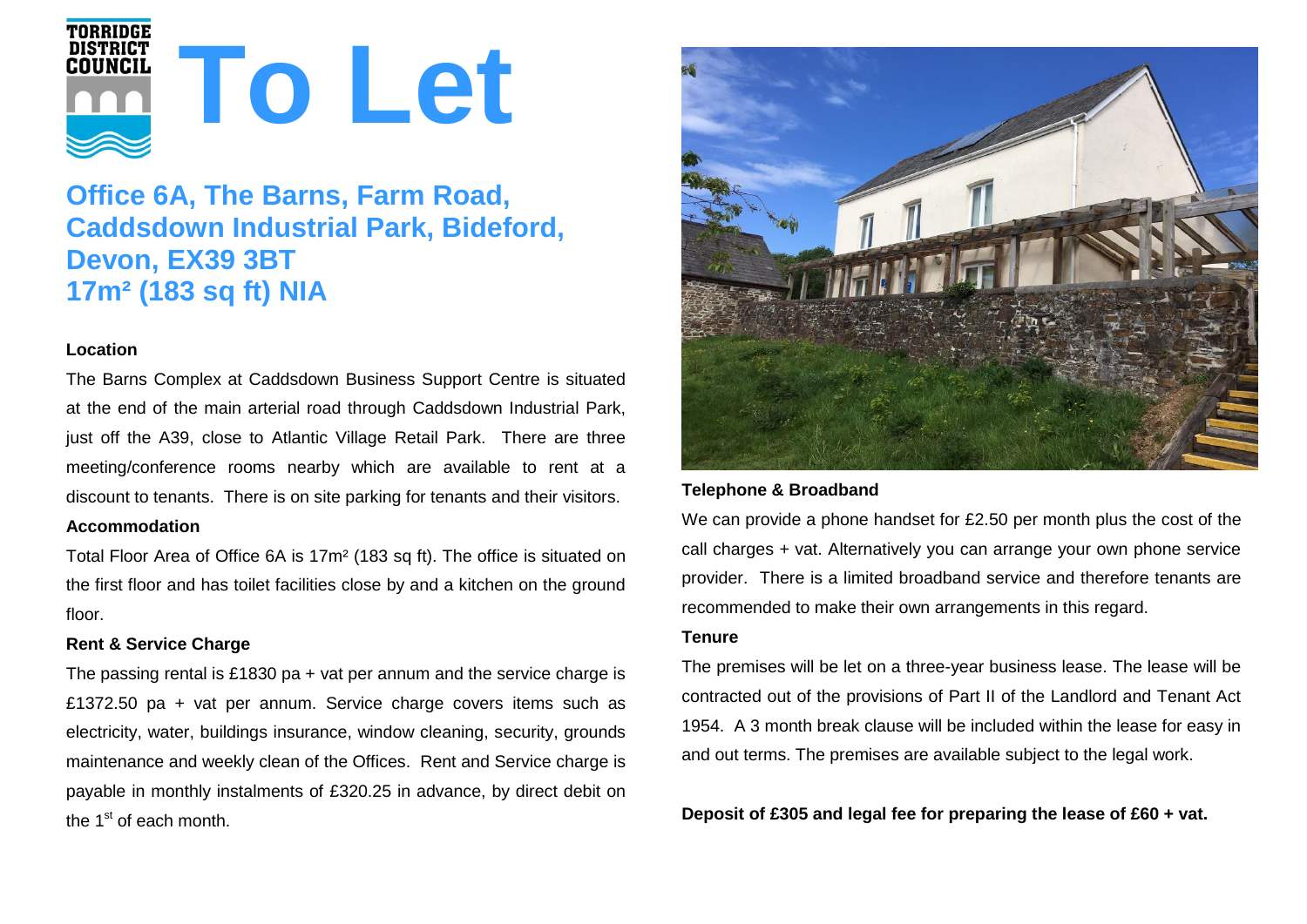

# **Office 6A, The Barns, Farm Road, Caddsdown Industrial Park, Bideford, Devon, EX39 3BT 17m² (183 sq ft) NIA**

## **Location**

The Barns Complex at Caddsdown Business Support Centre is situated at the end of the main arterial road through Caddsdown Industrial Park, just off the A39, close to Atlantic Village Retail Park. There are three meeting/conference rooms nearby which are available to rent at a discount to tenants. There is on site parking for tenants and their visitors. **Accommodation**

Total Floor Area of Office 6A is 17m² (183 sq ft). The office is situated on the first floor and has toilet facilities close by and a kitchen on the ground floor.

## **Rent & Service Charge**

The passing rental is £1830 pa + vat per annum and the service charge is £1372.50 pa + vat per annum. Service charge covers items such as electricity, water, buildings insurance, window cleaning, security, grounds maintenance and weekly clean of the Offices. Rent and Service charge is payable in monthly instalments of £320.25 in advance, by direct debit on the 1<sup>st</sup> of each month.



## **Telephone & Broadband**

We can provide a phone handset for £2.50 per month plus the cost of the call charges + vat. Alternatively you can arrange your own phone service provider. There is a limited broadband service and therefore tenants are recommended to make their own arrangements in this regard.

#### **Tenure**

The premises will be let on a three-year business lease. The lease will be contracted out of the provisions of Part II of the Landlord and Tenant Act 1954. A 3 month break clause will be included within the lease for easy in and out terms. The premises are available subject to the legal work.

**Deposit of £305 and legal fee for preparing the lease of £60 + vat.**